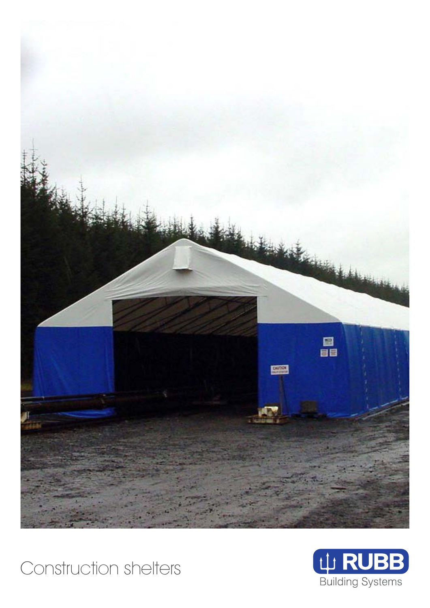



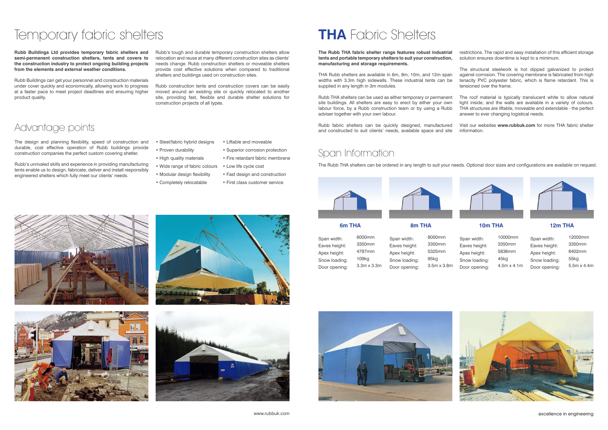**Rubb Buildings Ltd provides temporary fabric shelters and semi-permanent construction shelters, tents and covers to the construction industry to protect ongoing building projects from the elements and external weather conditions.**

Rubb Buildings can get your personnel and construction materials under cover quickly and economically, allowing work to progress at a faster pace to meet project deadlines and ensuring higher product quality.

Rubb's tough and durable temporary construction shelters allow relocation and reuse at many different construction sites as clients' needs change. Rubb construction shelters or moveable shelters provide cost effective solutions when compared to traditional shelters and buildings used on construction sites.

Rubb construction tents and construction covers can be easily moved around an existing site or quickly relocated to another site, providing fast, flexible and durable shelter solutions for construction projects of all types.

# Temporary fabric shelters

- 
- 
- 
- Completely relocatable
- 



## Advantage points

The design and planning flexibility, speed of construction and durable, cost effective operation of Rubb buildings provide construction companies the perfect custom covering shetler.

- Steel/fabric hybrid designs
- Proven durability
- High quality materials
- Wide range of fabric colours
- Modular design flexibility
	- First class customer service

Rubb's unrivaled skills and experience in providing manufacturing tents enable us to design, fabricate, deliver and install responsibly engineered shelters which fully meet our clients' needs.

• Liftable and moveable

- Superior corrosion protection
- Fire retardant fabric membrane
- Low life cycle cost
- Fast design and construction
- 

## Span Information

The Rubb THA shelters can be ordered in any length to suit your needs. Optional door sizes and configurations are available on request.



**6m THA**

Span width: Eaves height: Apex height: Snow loading: Door opening: 6000mm 3350mm 4787mm 109kg 3.3m x 3.3m **8m THA**

Span width: Eaves height: Apex height: Snow loading: Door opening:

I BANNAN S









8000mm 3350mm 5325mm 95kg

3.5m x 3.8m

### **10m THA**

Span width: Eaves height: Apex height: Snow loading: Door opening:

10000mm 3350mm 5836mm 45kg 4.5m x 4.1m



### **12m THA**

Span width: Eaves height: Apex height: Snow loading: Door opening:

12000mm 3350mm 6402mm 55kg 5.5m x 4.4m



**The Rubb THA fabric shelter range features robust industrial tents and portable temporary shelters to suit your construction, manufacturing and storage requirements.** restrictions. The rapid and easy installation of this efficient storage solution ensures downtime is kept to a minimum.

THA Rubb shelters are available in 6m, 8m, 10m, and 12m span widths with 3.3m high sidewalls. These industrial tents can be supplied in any length in 3m modules. The structural steelwork is hot dipped galvanized to protect against corrosion. The covering membrane is fabricated from high tenacity PVC polyester fabric, which is flame retardant. This is tensioned over the frame.

Rubb THA shelters can be used as either temporary or permanent site buildings. All shelters are easy to erect by either your own labour force, by a Rubb construction team or by using a Rubb adviser together with your own labour. The roof material is typically translucent white to allow natural light inside, and the walls are available in a variety of colours. THA structures are liftable, moveable and extendable - the perfect answer to ever changing logistical needs.

Rubb fabric shelters can be quickly designed, manufactured and constructed to suit clients' needs, available space and site Visit our websites **www.rubbuk.com** for more THA fabric shelter information.